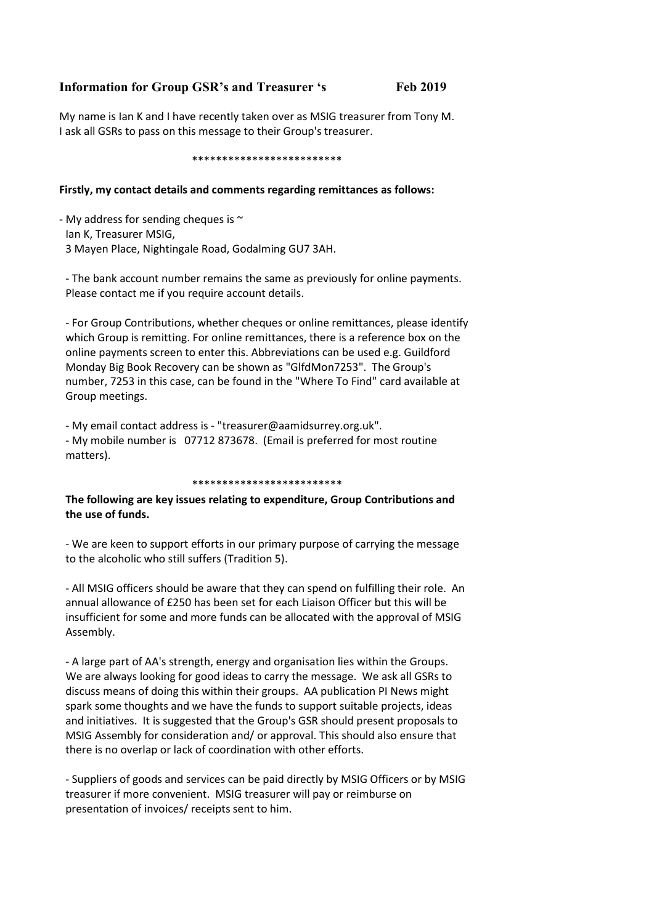## Information for Group GSR's and Treasurer 's Feb 2019

My name is Ian K and I have recently taken over as MSIG treasurer from Tony M. I ask all GSRs to pass on this message to their Group's treasurer.

#### \*\*\*\*\*\*\*\*\*\*\*\*\*\*\*\*\*\*\*\*\*\*\*\*\*

### Firstly, my contact details and comments regarding remittances as follows:

- My address for sending cheques is  $\sim$ Ian K, Treasurer MSIG, 3 Mayen Place, Nightingale Road, Godalming GU7 3AH.

- The bank account number remains the same as previously for online payments. Please contact me if you require account details.

- For Group Contributions, whether cheques or online remittances, please identify which Group is remitting. For online remittances, there is a reference box on the online payments screen to enter this. Abbreviations can be used e.g. Guildford Monday Big Book Recovery can be shown as "GlfdMon7253". The Group's number, 7253 in this case, can be found in the "Where To Find" card available at Group meetings.

- My email contact address is - "treasurer@aamidsurrey.org.uk". - My mobile number is 07712 873678. (Email is preferred for most routine matters).

#### \*\*\*\*\*\*\*\*\*\*\*\*\*\*\*\*\*\*\*\*\*\*\*\*\*

## The following are key issues relating to expenditure, Group Contributions and the use of funds.

- We are keen to support efforts in our primary purpose of carrying the message to the alcoholic who still suffers (Tradition 5).

- All MSIG officers should be aware that they can spend on fulfilling their role. An annual allowance of £250 has been set for each Liaison Officer but this will be insufficient for some and more funds can be allocated with the approval of MSIG Assembly.

- A large part of AA's strength, energy and organisation lies within the Groups. We are always looking for good ideas to carry the message. We ask all GSRs to discuss means of doing this within their groups. AA publication PI News might spark some thoughts and we have the funds to support suitable projects, ideas and initiatives. It is suggested that the Group's GSR should present proposals to MSIG Assembly for consideration and/ or approval. This should also ensure that there is no overlap or lack of coordination with other efforts.

- Suppliers of goods and services can be paid directly by MSIG Officers or by MSIG treasurer if more convenient. MSIG treasurer will pay or reimburse on presentation of invoices/ receipts sent to him.